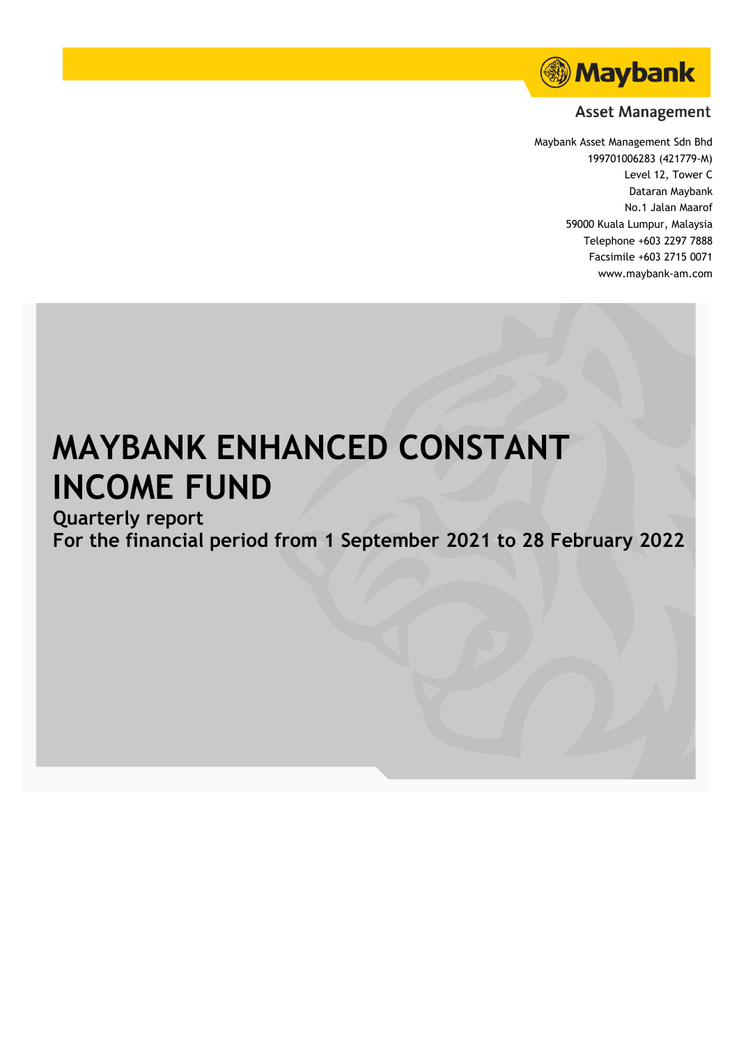

# **Asset Management**

Maybank Asset Management Sdn Bhd 199701006283 (421779-M) Level 12, Tower C Dataran Maybank No.1 Jalan Maarof 59000 Kuala Lumpur, Malaysia Telephone +603 2297 7888 Facsimile +603 2715 0071 www.maybank-am.com

# **MAYBANK ENHANCED CONSTANT INCOME FUND**

# **Quarterly report**

**For the financial period from 1 September 2021 to 28 February 2022**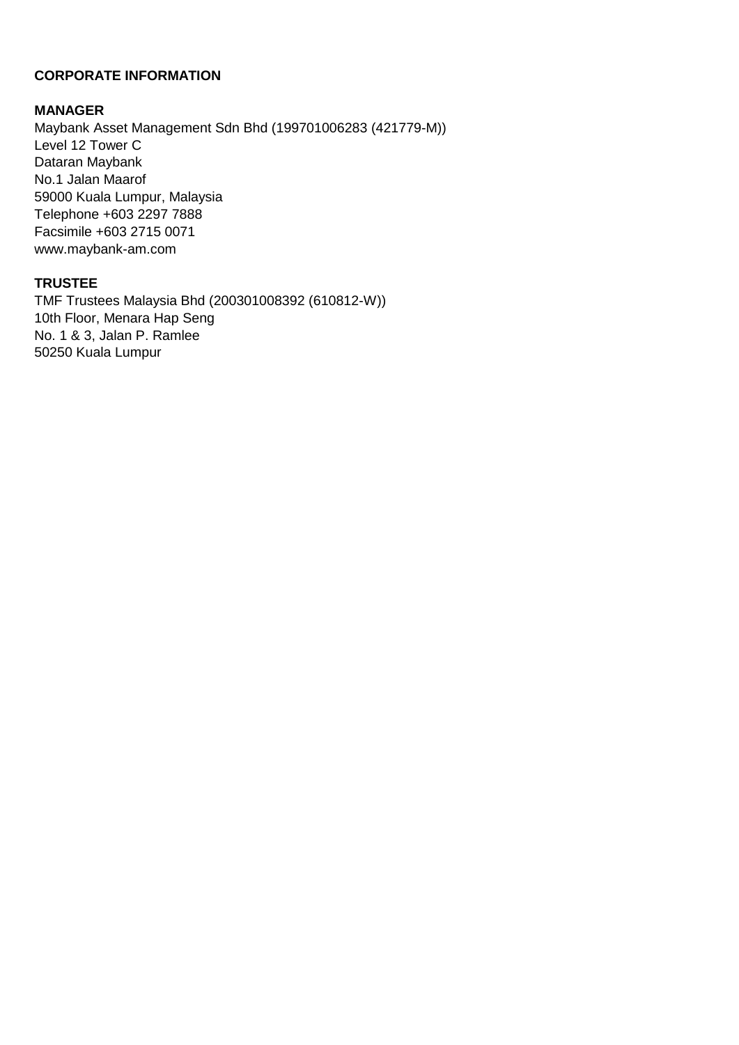# **CORPORATE INFORMATION**

# **MANAGER**

Maybank Asset Management Sdn Bhd (199701006283 (421779-M)) Level 12 Tower C Dataran Maybank No.1 Jalan Maarof 59000 Kuala Lumpur, Malaysia Telephone +603 2297 7888 Facsimile +603 2715 0071 www.maybank-am.com

# **TRUSTEE**

TMF Trustees Malaysia Bhd (200301008392 (610812-W)) 10th Floor, Menara Hap Seng No. 1 & 3, Jalan P. Ramlee 50250 Kuala Lumpur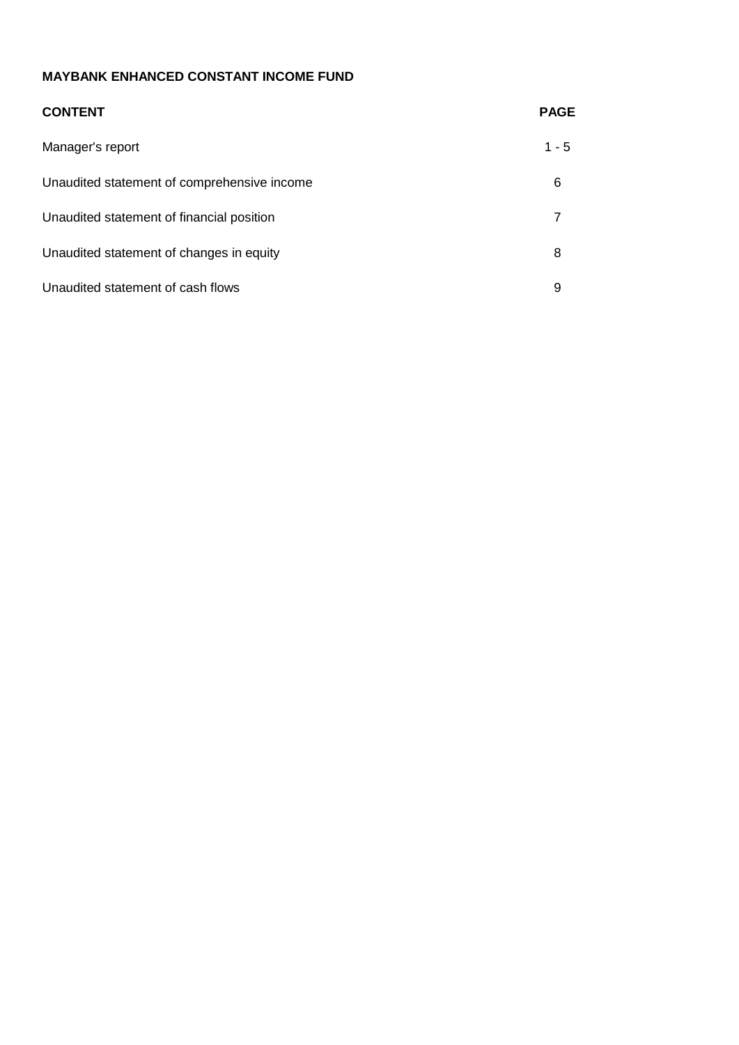| <b>CONTENT</b>                              | <b>PAGE</b> |
|---------------------------------------------|-------------|
| Manager's report                            | $1 - 5$     |
| Unaudited statement of comprehensive income | 6           |
| Unaudited statement of financial position   | 7           |
| Unaudited statement of changes in equity    | 8           |
| Unaudited statement of cash flows           | 9           |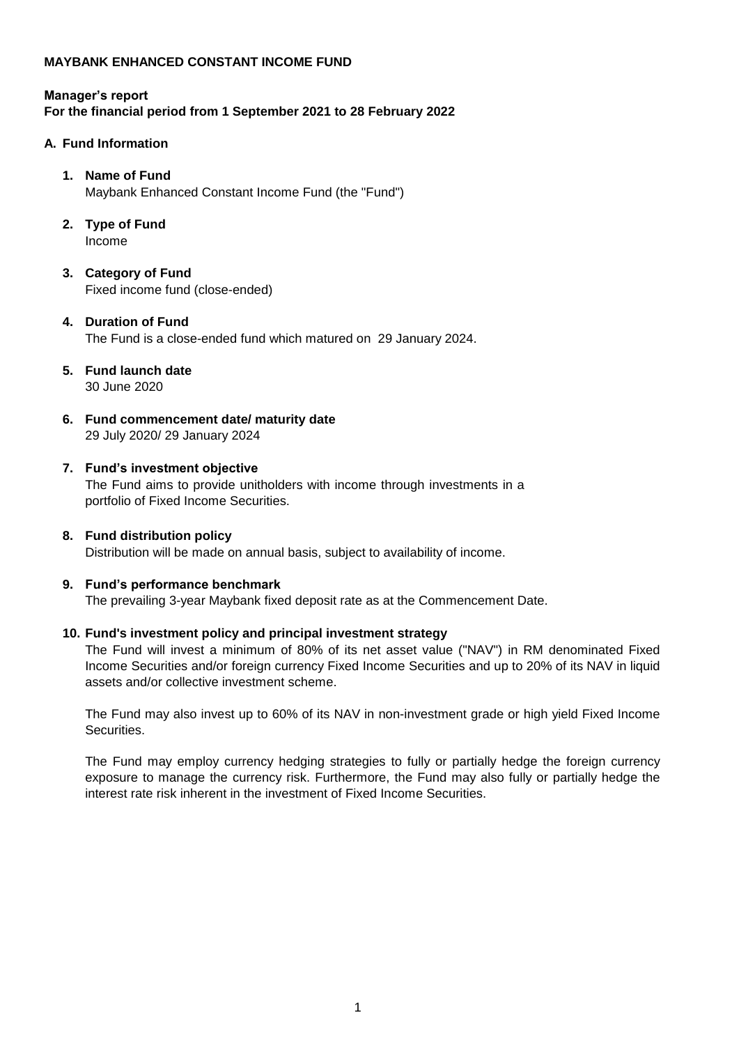# **Manager's report For the financial period from 1 September 2021 to 28 February 2022**

#### **A. Fund Information**

#### **1. Name of Fund**

Maybank Enhanced Constant Income Fund (the "Fund")

- **2. Type of Fund** Income
- **3. Category of Fund** Fixed income fund (close-ended)

#### **4. Duration of Fund** The Fund is a close-ended fund which matured on 29 January 2024.

- **5. Fund launch date** 30 June 2020
- **6. Fund commencement date/ maturity date** 29 July 2020/ 29 January 2024

#### **7. Fund's investment objective**

The Fund aims to provide unitholders with income through investments in a portfolio of Fixed Income Securities.

#### **8. Fund distribution policy**

Distribution will be made on annual basis, subject to availability of income.

#### **9. Fund's performance benchmark**

The prevailing 3-year Maybank fixed deposit rate as at the Commencement Date.

#### **10. Fund's investment policy and principal investment strategy**

The Fund will invest a minimum of 80% of its net asset value ("NAV") in RM denominated Fixed Income Securities and/or foreign currency Fixed Income Securities and up to 20% of its NAV in liquid assets and/or collective investment scheme.

The Fund may also invest up to 60% of its NAV in non-investment grade or high yield Fixed Income **Securities** 

The Fund may employ currency hedging strategies to fully or partially hedge the foreign currency exposure to manage the currency risk. Furthermore, the Fund may also fully or partially hedge the interest rate risk inherent in the investment of Fixed Income Securities.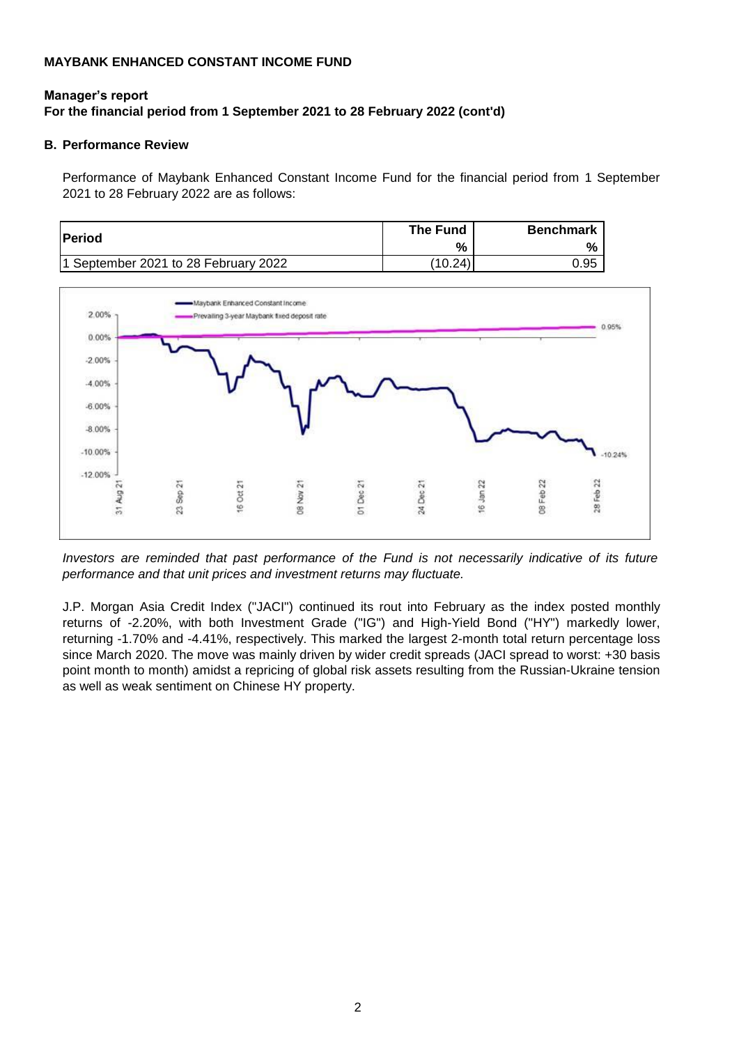# **Manager's report For the financial period from 1 September 2021 to 28 February 2022 (cont'd)**

#### **B. Performance Review**

Performance of Maybank Enhanced Constant Income Fund for the financial period from 1 September 2021 to 28 February 2022 are as follows:

| <b>Period</b>                        | The Fund | <b>Benchmark</b> |
|--------------------------------------|----------|------------------|
|                                      | %        | %                |
| 1 September 2021 to 28 February 2022 | (10.24)  | 0.95             |



*Investors are reminded that past performance of the Fund is not necessarily indicative of its future performance and that unit prices and investment returns may fluctuate.*

J.P. Morgan Asia Credit Index ("JACI") continued its rout into February as the index posted monthly returns of -2.20%, with both Investment Grade ("IG") and High-Yield Bond ("HY") markedly lower, returning -1.70% and -4.41%, respectively. This marked the largest 2-month total return percentage loss since March 2020. The move was mainly driven by wider credit spreads (JACI spread to worst: +30 basis point month to month) amidst a repricing of global risk assets resulting from the Russian-Ukraine tension as well as weak sentiment on Chinese HY property.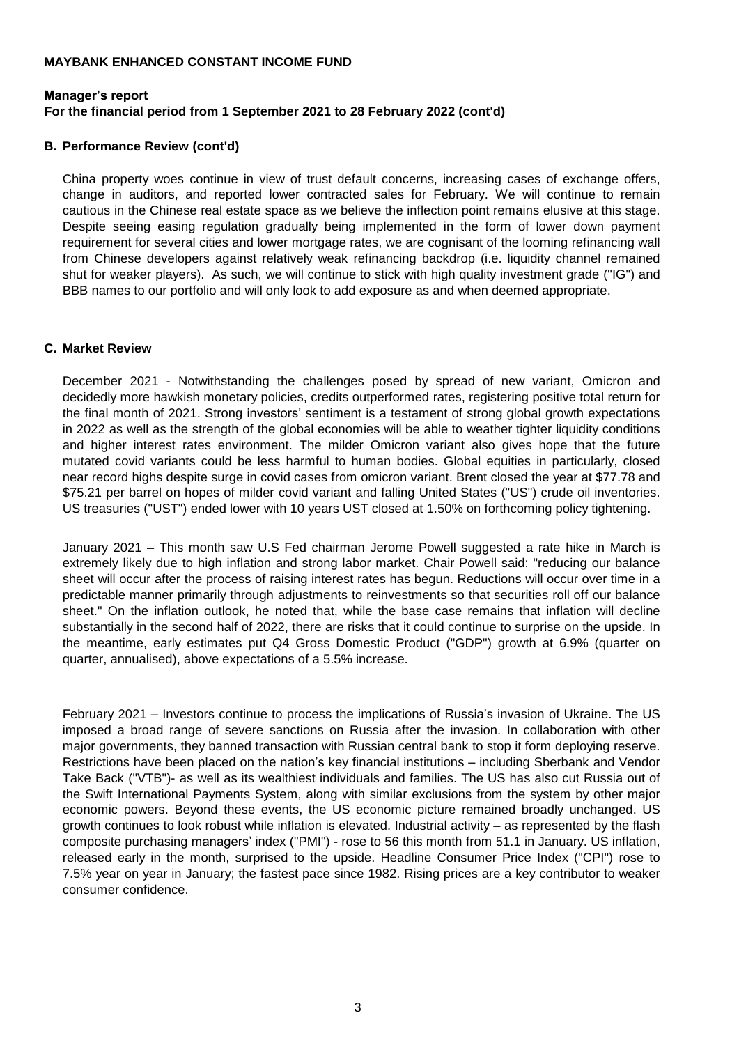# **Manager's report For the financial period from 1 September 2021 to 28 February 2022 (cont'd)**

#### **B. Performance Review (cont'd)**

China property woes continue in view of trust default concerns, increasing cases of exchange offers, change in auditors, and reported lower contracted sales for February. We will continue to remain cautious in the Chinese real estate space as we believe the inflection point remains elusive at this stage. Despite seeing easing regulation gradually being implemented in the form of lower down payment requirement for several cities and lower mortgage rates, we are cognisant of the looming refinancing wall from Chinese developers against relatively weak refinancing backdrop (i.e. liquidity channel remained shut for weaker players). As such, we will continue to stick with high quality investment grade ("IG") and BBB names to our portfolio and will only look to add exposure as and when deemed appropriate.

#### **C. Market Review**

December 2021 - Notwithstanding the challenges posed by spread of new variant, Omicron and decidedly more hawkish monetary policies, credits outperformed rates, registering positive total return for the final month of 2021. Strong investors' sentiment is a testament of strong global growth expectations in 2022 as well as the strength of the global economies will be able to weather tighter liquidity conditions and higher interest rates environment. The milder Omicron variant also gives hope that the future mutated covid variants could be less harmful to human bodies. Global equities in particularly, closed near record highs despite surge in covid cases from omicron variant. Brent closed the year at \$77.78 and \$75.21 per barrel on hopes of milder covid variant and falling United States ("US") crude oil inventories. US treasuries ("UST") ended lower with 10 years UST closed at 1.50% on forthcoming policy tightening.

January 2021 – This month saw U.S Fed chairman Jerome Powell suggested a rate hike in March is extremely likely due to high inflation and strong labor market. Chair Powell said: "reducing our balance sheet will occur after the process of raising interest rates has begun. Reductions will occur over time in a predictable manner primarily through adjustments to reinvestments so that securities roll off our balance sheet." On the inflation outlook, he noted that, while the base case remains that inflation will decline substantially in the second half of 2022, there are risks that it could continue to surprise on the upside. In the meantime, early estimates put Q4 Gross Domestic Product ("GDP") growth at 6.9% (quarter on quarter, annualised), above expectations of a 5.5% increase.

February 2021 – Investors continue to process the implications of Russia's invasion of Ukraine. The US imposed a broad range of severe sanctions on Russia after the invasion. In collaboration with other major governments, they banned transaction with Russian central bank to stop it form deploying reserve. Restrictions have been placed on the nation's key financial institutions – including Sberbank and Vendor Take Back ("VTB")- as well as its wealthiest individuals and families. The US has also cut Russia out of the Swift International Payments System, along with similar exclusions from the system by other major economic powers. Beyond these events, the US economic picture remained broadly unchanged. US growth continues to look robust while inflation is elevated. Industrial activity – as represented by the flash composite purchasing managers' index ("PMI") - rose to 56 this month from 51.1 in January. US inflation, released early in the month, surprised to the upside. Headline Consumer Price Index ("CPI") rose to 7.5% year on year in January; the fastest pace since 1982. Rising prices are a key contributor to weaker consumer confidence.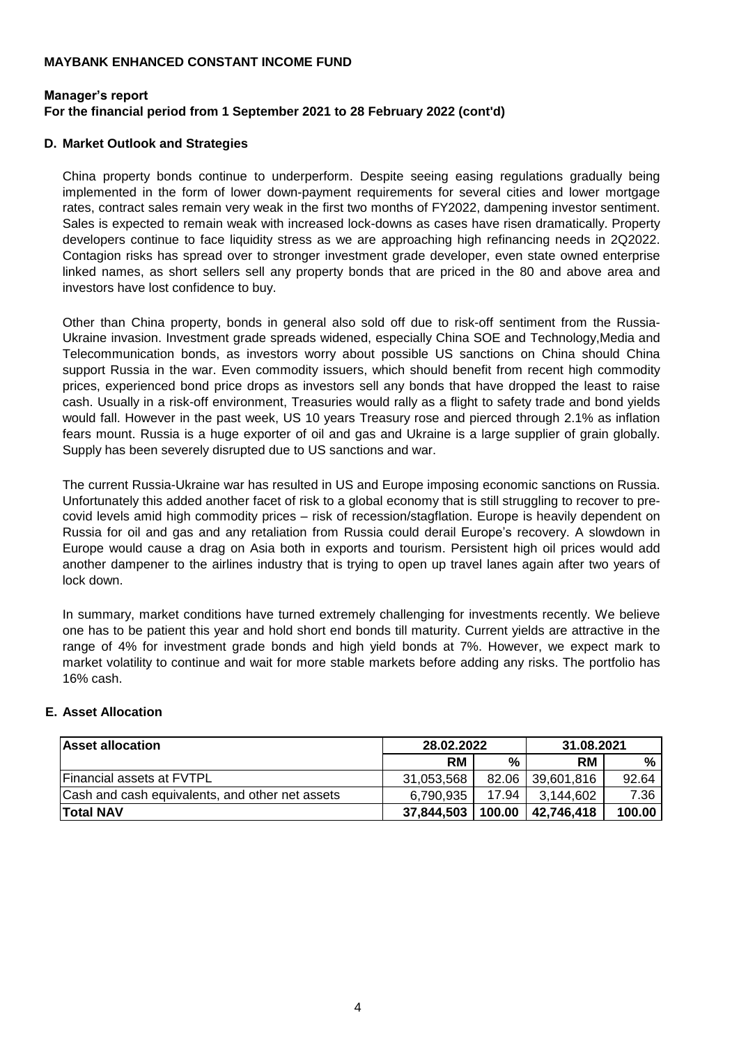# **Manager's report For the financial period from 1 September 2021 to 28 February 2022 (cont'd)**

#### **D. Market Outlook and Strategies**

China property bonds continue to underperform. Despite seeing easing regulations gradually being implemented in the form of lower down-payment requirements for several cities and lower mortgage rates, contract sales remain very weak in the first two months of FY2022, dampening investor sentiment. Sales is expected to remain weak with increased lock-downs as cases have risen dramatically. Property developers continue to face liquidity stress as we are approaching high refinancing needs in 2Q2022. Contagion risks has spread over to stronger investment grade developer, even state owned enterprise linked names, as short sellers sell any property bonds that are priced in the 80 and above area and investors have lost confidence to buy.

Other than China property, bonds in general also sold off due to risk-off sentiment from the Russia-Ukraine invasion. Investment grade spreads widened, especially China SOE and Technology,Media and Telecommunication bonds, as investors worry about possible US sanctions on China should China support Russia in the war. Even commodity issuers, which should benefit from recent high commodity prices, experienced bond price drops as investors sell any bonds that have dropped the least to raise cash. Usually in a risk-off environment, Treasuries would rally as a flight to safety trade and bond yields would fall. However in the past week, US 10 years Treasury rose and pierced through 2.1% as inflation fears mount. Russia is a huge exporter of oil and gas and Ukraine is a large supplier of grain globally. Supply has been severely disrupted due to US sanctions and war.

The current Russia-Ukraine war has resulted in US and Europe imposing economic sanctions on Russia. Unfortunately this added another facet of risk to a global economy that is still struggling to recover to precovid levels amid high commodity prices – risk of recession/stagflation. Europe is heavily dependent on Russia for oil and gas and any retaliation from Russia could derail Europe's recovery. A slowdown in Europe would cause a drag on Asia both in exports and tourism. Persistent high oil prices would add another dampener to the airlines industry that is trying to open up travel lanes again after two years of lock down.

In summary, market conditions have turned extremely challenging for investments recently. We believe one has to be patient this year and hold short end bonds till maturity. Current yields are attractive in the range of 4% for investment grade bonds and high yield bonds at 7%. However, we expect mark to market volatility to continue and wait for more stable markets before adding any risks. The portfolio has 16% cash.

# **E. Asset Allocation**

| <b>Asset allocation</b>                         | 28.02.2022 |        | 31.08.2021 |               |
|-------------------------------------------------|------------|--------|------------|---------------|
|                                                 | RM.        | %      | <b>RM</b>  | $\frac{0}{0}$ |
| <b>Financial assets at FVTPL</b>                | 31,053,568 | 82.06  | 39,601,816 | 92.64         |
| Cash and cash equivalents, and other net assets | 6.790.935  | 17.94  | 3.144.602  | 7.36          |
| <b>Total NAV</b>                                | 37,844,503 | 100.00 | 42,746,418 | 100.00        |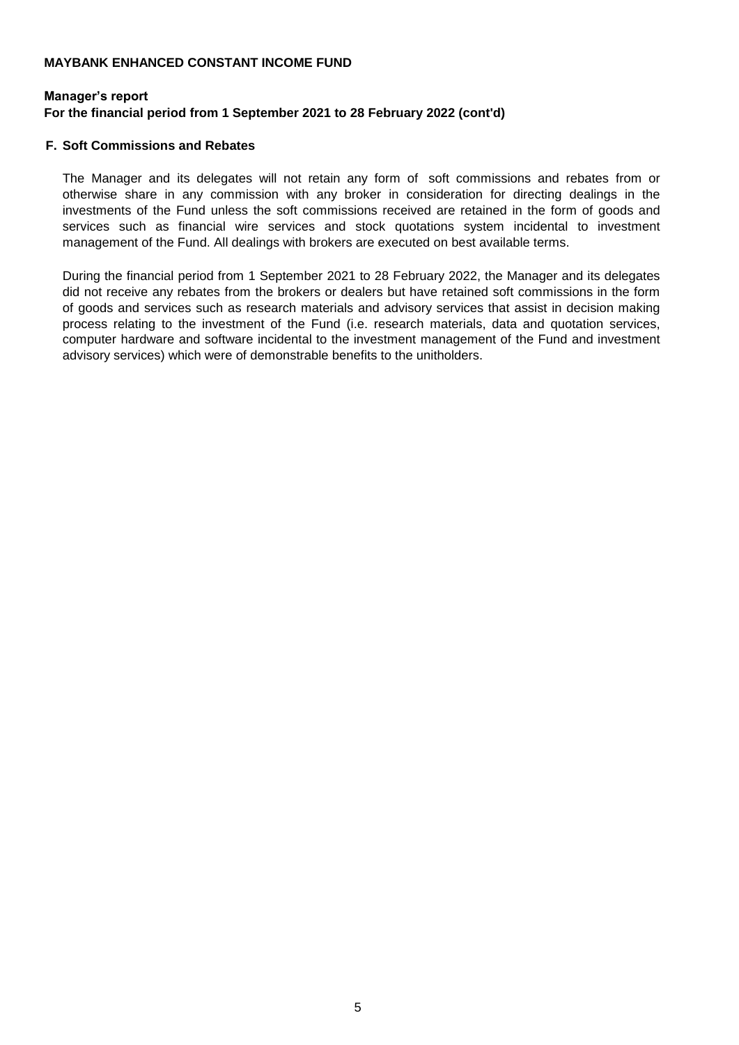# **Manager's report For the financial period from 1 September 2021 to 28 February 2022 (cont'd)**

#### **F. Soft Commissions and Rebates**

The Manager and its delegates will not retain any form of soft commissions and rebates from or otherwise share in any commission with any broker in consideration for directing dealings in the investments of the Fund unless the soft commissions received are retained in the form of goods and services such as financial wire services and stock quotations system incidental to investment management of the Fund. All dealings with brokers are executed on best available terms.

During the financial period from 1 September 2021 to 28 February 2022, the Manager and its delegates did not receive any rebates from the brokers or dealers but have retained soft commissions in the form of goods and services such as research materials and advisory services that assist in decision making process relating to the investment of the Fund (i.e. research materials, data and quotation services, computer hardware and software incidental to the investment management of the Fund and investment advisory services) which were of demonstrable benefits to the unitholders.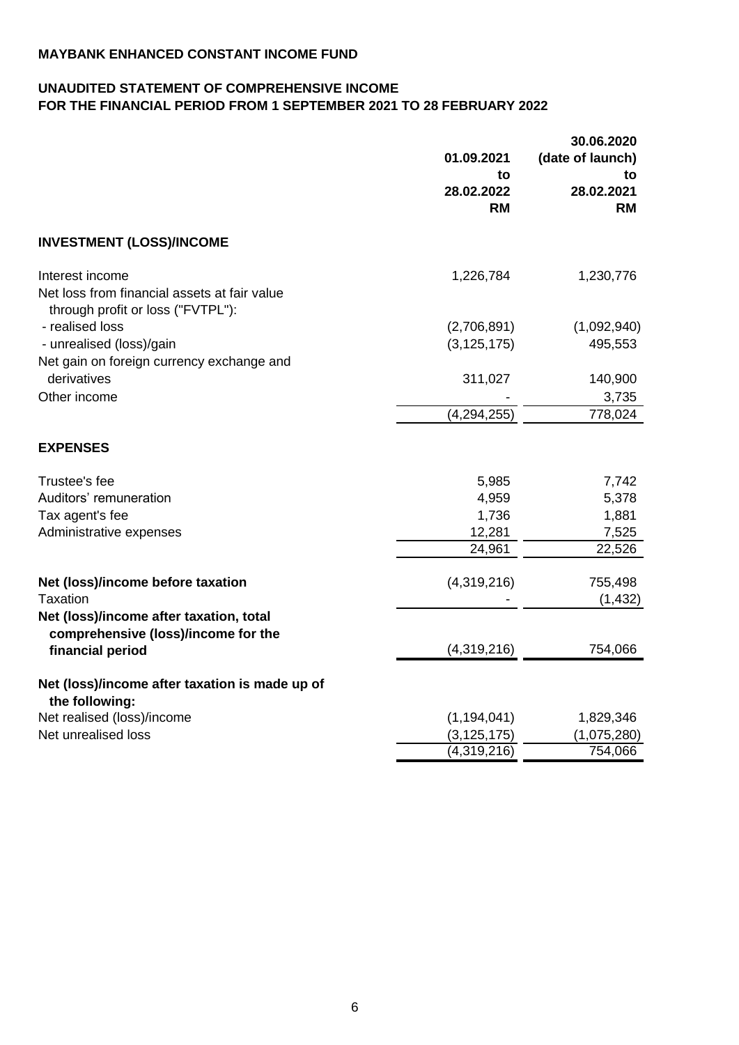# **UNAUDITED STATEMENT OF COMPREHENSIVE INCOME FOR THE FINANCIAL PERIOD FROM 1 SEPTEMBER 2021 TO 28 FEBRUARY 2022**

|                                                                                                      | 01.09.2021              | 30.06.2020<br>(date of launch) |
|------------------------------------------------------------------------------------------------------|-------------------------|--------------------------------|
|                                                                                                      | to                      | to                             |
|                                                                                                      | 28.02.2022<br><b>RM</b> | 28.02.2021<br><b>RM</b>        |
| <b>INVESTMENT (LOSS)/INCOME</b>                                                                      |                         |                                |
| Interest income<br>Net loss from financial assets at fair value<br>through profit or loss ("FVTPL"): | 1,226,784               | 1,230,776                      |
| - realised loss                                                                                      | (2,706,891)             | (1,092,940)                    |
| - unrealised (loss)/gain                                                                             | (3, 125, 175)           | 495,553                        |
| Net gain on foreign currency exchange and<br>derivatives<br>Other income                             | 311,027                 | 140,900<br>3,735               |
|                                                                                                      | (4, 294, 255)           | 778,024                        |
| <b>EXPENSES</b>                                                                                      |                         |                                |
| Trustee's fee                                                                                        | 5,985                   | 7,742                          |
| Auditors' remuneration                                                                               | 4,959                   | 5,378                          |
| Tax agent's fee                                                                                      | 1,736                   | 1,881                          |
| Administrative expenses                                                                              | 12,281                  | 7,525                          |
|                                                                                                      | 24,961                  | 22,526                         |
| Net (loss)/income before taxation                                                                    | (4,319,216)             | 755,498                        |
| Taxation                                                                                             |                         | (1, 432)                       |
| Net (loss)/income after taxation, total<br>comprehensive (loss)/income for the                       |                         |                                |
| financial period                                                                                     | (4,319,216)             | 754,066                        |
| Net (loss)/income after taxation is made up of<br>the following:                                     |                         |                                |
| Net realised (loss)/income                                                                           | (1, 194, 041)           | 1,829,346                      |
| Net unrealised loss                                                                                  | (3, 125, 175)           | (1,075,280)                    |
|                                                                                                      | (4,319,216)             | 754,066                        |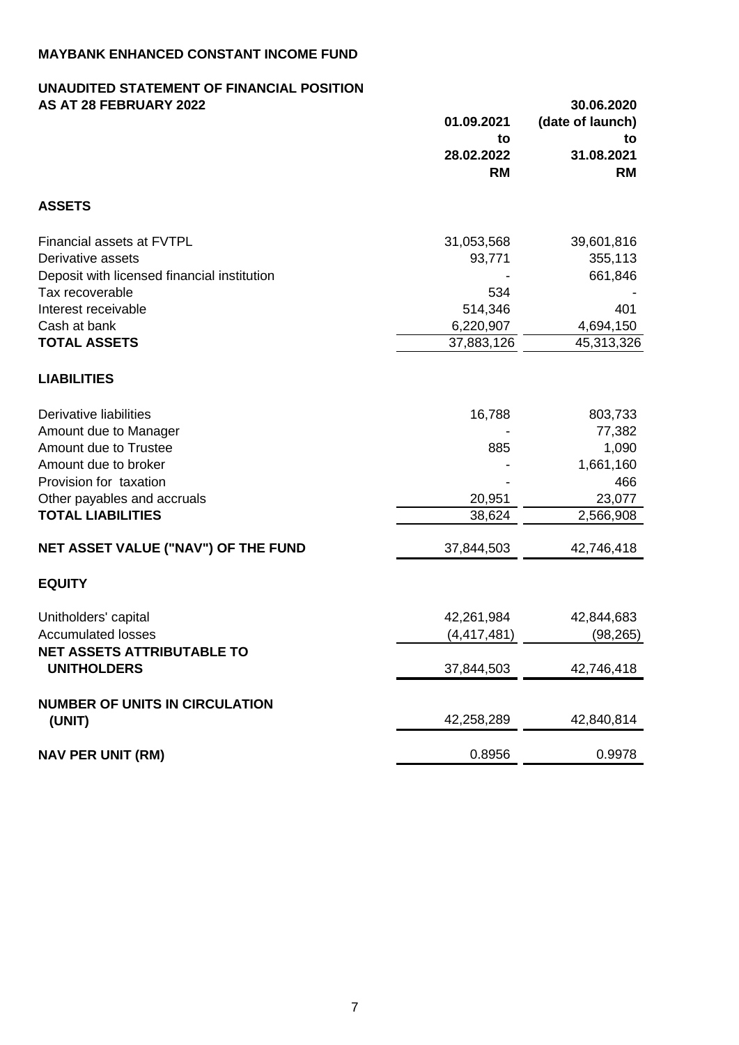#### **UNAUDITED STATEMENT OF FINANCIAL POSITION AS AT 28 FEBRUARY 2022 30.06.2020**

|                                                         | 01.09.2021<br>to<br>28.02.2022<br><b>RM</b> | (date of launch)<br>to<br>31.08.2021<br><b>RM</b> |
|---------------------------------------------------------|---------------------------------------------|---------------------------------------------------|
| <b>ASSETS</b>                                           |                                             |                                                   |
| Financial assets at FVTPL                               | 31,053,568                                  | 39,601,816                                        |
| Derivative assets                                       | 93,771                                      | 355,113                                           |
| Deposit with licensed financial institution             |                                             | 661,846                                           |
| Tax recoverable                                         | 534                                         |                                                   |
| Interest receivable                                     | 514,346                                     | 401                                               |
| Cash at bank                                            | 6,220,907                                   | 4,694,150                                         |
| <b>TOTAL ASSETS</b>                                     | 37,883,126                                  | 45,313,326                                        |
| <b>LIABILITIES</b>                                      |                                             |                                                   |
| Derivative liabilities                                  | 16,788                                      | 803,733                                           |
| Amount due to Manager                                   |                                             | 77,382                                            |
| Amount due to Trustee                                   | 885                                         | 1,090                                             |
| Amount due to broker                                    |                                             | 1,661,160                                         |
| Provision for taxation                                  |                                             | 466                                               |
| Other payables and accruals                             | 20,951                                      | 23,077                                            |
| <b>TOTAL LIABILITIES</b>                                | 38,624                                      | 2,566,908                                         |
| NET ASSET VALUE ("NAV") OF THE FUND                     | 37,844,503                                  | 42,746,418                                        |
| <b>EQUITY</b>                                           |                                             |                                                   |
| Unitholders' capital                                    | 42,261,984                                  | 42,844,683                                        |
| <b>Accumulated losses</b>                               | (4, 417, 481)                               | (98, 265)                                         |
| <b>NET ASSETS ATTRIBUTABLE TO</b><br><b>UNITHOLDERS</b> | 37,844,503                                  | 42,746,418                                        |
| <b>NUMBER OF UNITS IN CIRCULATION</b>                   |                                             |                                                   |
| (UNIT)                                                  | 42,258,289                                  | 42,840,814                                        |
| <b>NAV PER UNIT (RM)</b>                                | 0.8956                                      | 0.9978                                            |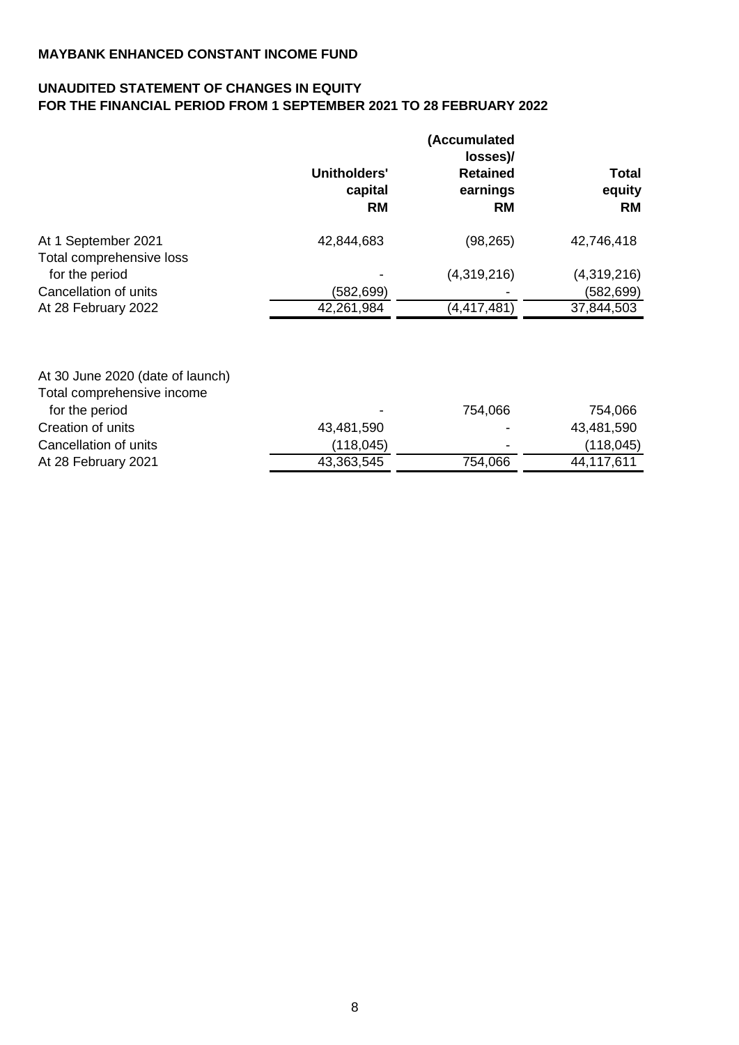# **UNAUDITED STATEMENT OF CHANGES IN EQUITY FOR THE FINANCIAL PERIOD FROM 1 SEPTEMBER 2021 TO 28 FEBRUARY 2022**

|                          | Unitholders'<br>capital<br><b>RM</b> | (Accumulated<br>losses)/<br><b>Retained</b><br>earnings<br><b>RM</b> | <b>Total</b><br>equity<br><b>RM</b> |
|--------------------------|--------------------------------------|----------------------------------------------------------------------|-------------------------------------|
| At 1 September 2021      | 42,844,683                           | (98, 265)                                                            | 42,746,418                          |
| Total comprehensive loss |                                      |                                                                      |                                     |
| for the period           |                                      | (4,319,216)                                                          | (4,319,216)                         |
| Cancellation of units    | (582,699)                            |                                                                      | (582,699)                           |
| At 28 February 2022      | 42,261,984                           | (4, 417, 481)                                                        | 37,844,503                          |

| At 30 June 2020 (date of launch) |                |         |            |
|----------------------------------|----------------|---------|------------|
| Total comprehensive income       |                |         |            |
| for the period                   | $\blacksquare$ | 754,066 | 754,066    |
| Creation of units                | 43,481,590     |         | 43,481,590 |
| Cancellation of units            | (118, 045)     | ٠       | (118, 045) |
| At 28 February 2021              | 43,363,545     | 754,066 | 44,117,611 |
|                                  |                |         |            |